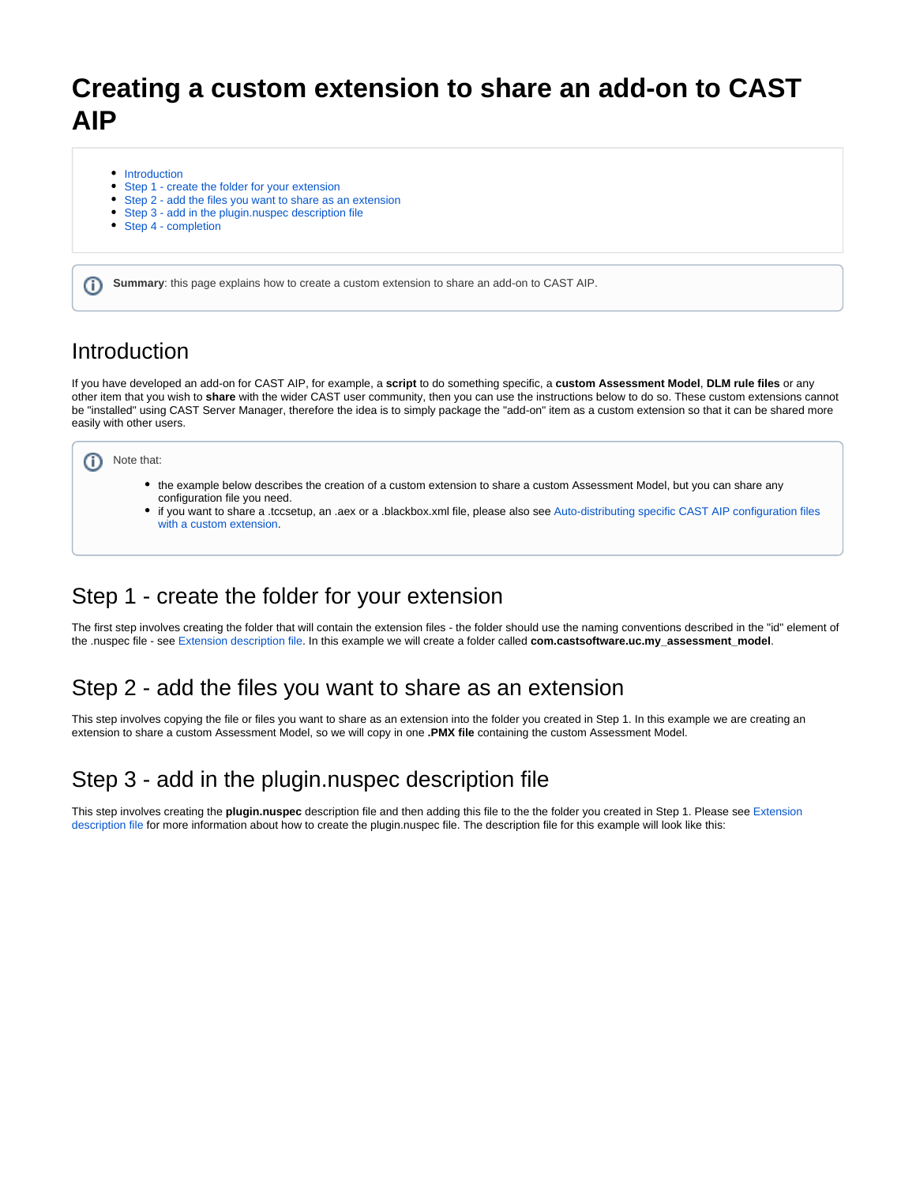# **Creating a custom extension to share an add-on to CAST AIP**

- [Introduction](#page-0-0)
- [Step 1 create the folder for your extension](#page-0-1)
- [Step 2 add the files you want to share as an extension](#page-0-2)
- [Step 3 add in the plugin.nuspec description file](#page-0-3)
- [Step 4 completion](#page-1-0)

**Summary**: this page explains how to create a custom extension to share an add-on to CAST AIP.

#### <span id="page-0-0"></span>Introduction

(ï)

If you have developed an add-on for CAST AIP, for example, a **script** to do something specific, a **custom Assessment Model**, **DLM rule files** or any other item that you wish to **share** with the wider CAST user community, then you can use the instructions below to do so. These custom extensions cannot be "installed" using CAST Server Manager, therefore the idea is to simply package the "add-on" item as a custom extension so that it can be shared more easily with other users.



- the example below describes the creation of a custom extension to share a custom Assessment Model, but you can share any configuration file you need.
- if you want to share a .tccsetup, an .aex or a .blackbox.xml file, please also see [Auto-distributing specific CAST AIP configuration files](https://doc.castsoftware.com/display/EXTEND/Auto-distributing+specific+CAST+AIP+configuration+files+with+a+custom+extension)  [with a custom extension.](https://doc.castsoftware.com/display/EXTEND/Auto-distributing+specific+CAST+AIP+configuration+files+with+a+custom+extension)

### <span id="page-0-1"></span>Step 1 - create the folder for your extension

The first step involves creating the folder that will contain the extension files - the folder should use the naming conventions described in the "id" element of the .nuspec file - see [Extension description file](https://doc.castsoftware.com/display/EXTEND/Extension+description+file). In this example we will create a folder called **com.castsoftware.uc.my\_assessment\_model**.

### <span id="page-0-2"></span>Step 2 - add the files you want to share as an extension

This step involves copying the file or files you want to share as an extension into the folder you created in Step 1. In this example we are creating an extension to share a custom Assessment Model, so we will copy in one **.PMX file** containing the custom Assessment Model.

## <span id="page-0-3"></span>Step 3 - add in the plugin.nuspec description file

This step involves creating the **plugin.nuspec** description file and then adding this file to the the folder you created in Step 1. Please see [Extension](https://doc.castsoftware.com/display/EXTEND/Extension+description+file)  [description file](https://doc.castsoftware.com/display/EXTEND/Extension+description+file) for more information about how to create the plugin.nuspec file. The description file for this example will look like this: